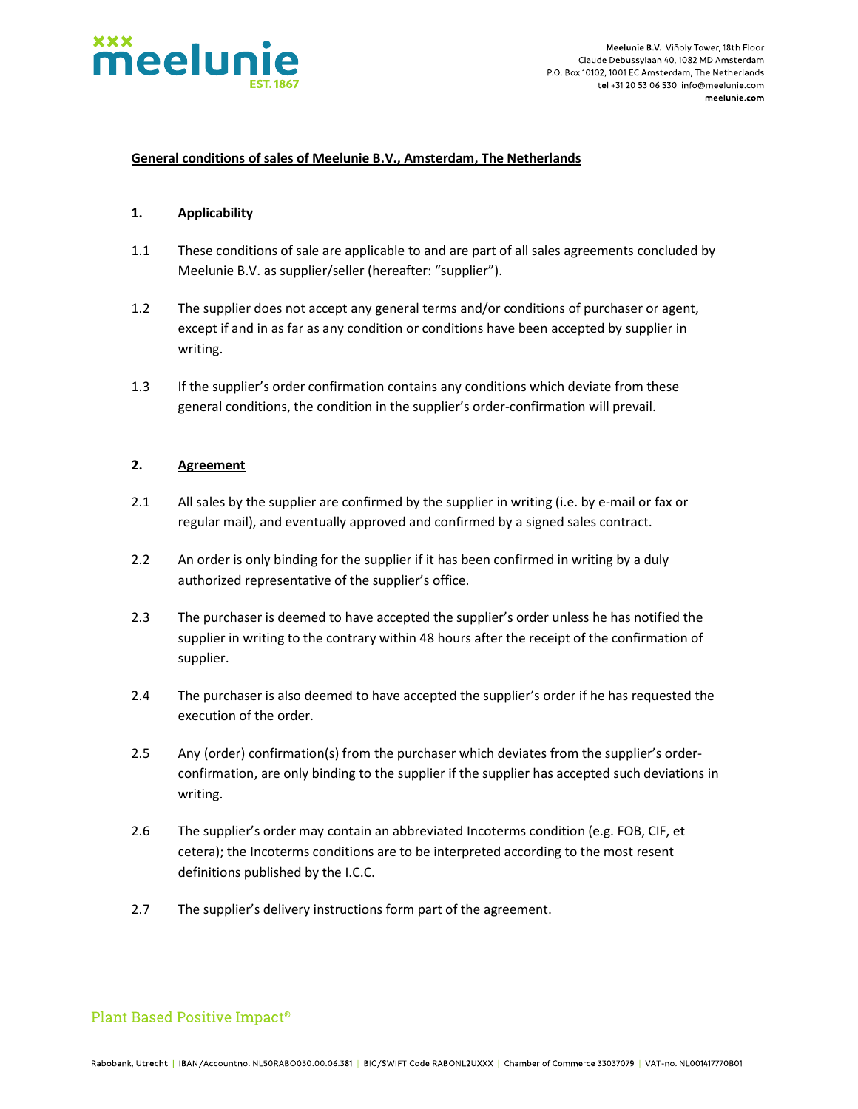

### General conditions of sales of Meelunie B.V., Amsterdam, The Netherlands

#### 1. Applicability

- 1.1 These conditions of sale are applicable to and are part of all sales agreements concluded by Meelunie B.V. as supplier/seller (hereafter: "supplier").
- 1.2 The supplier does not accept any general terms and/or conditions of purchaser or agent, except if and in as far as any condition or conditions have been accepted by supplier in writing.
- 1.3 If the supplier's order confirmation contains any conditions which deviate from these general conditions, the condition in the supplier's order-confirmation will prevail.

### 2. Agreement

- 2.1 All sales by the supplier are confirmed by the supplier in writing (i.e. by e-mail or fax or regular mail), and eventually approved and confirmed by a signed sales contract.
- 2.2 An order is only binding for the supplier if it has been confirmed in writing by a duly authorized representative of the supplier's office.
- 2.3 The purchaser is deemed to have accepted the supplier's order unless he has notified the supplier in writing to the contrary within 48 hours after the receipt of the confirmation of supplier.
- 2.4 The purchaser is also deemed to have accepted the supplier's order if he has requested the execution of the order.
- 2.5 Any (order) confirmation(s) from the purchaser which deviates from the supplier's orderconfirmation, are only binding to the supplier if the supplier has accepted such deviations in writing.
- 2.6 The supplier's order may contain an abbreviated Incoterms condition (e.g. FOB, CIF, et cetera); the Incoterms conditions are to be interpreted according to the most resent definitions published by the I.C.C.
- 2.7 The supplier's delivery instructions form part of the agreement.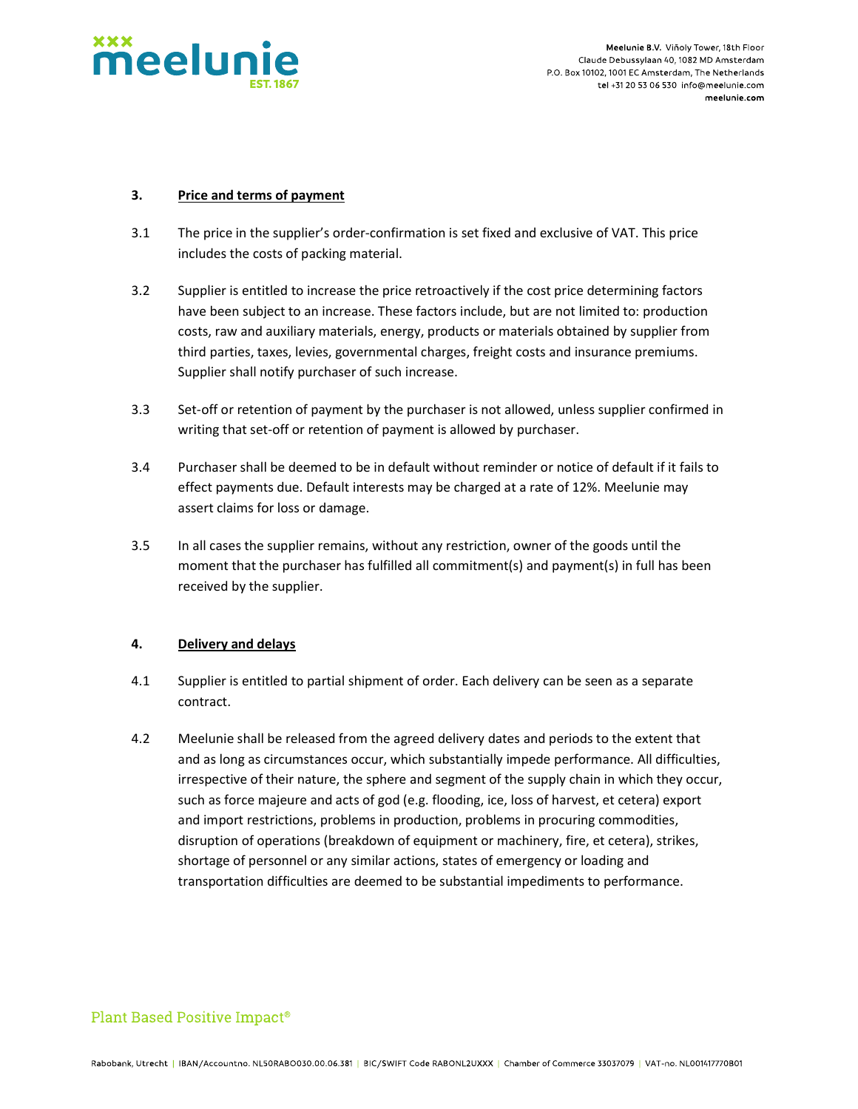

Meelunie B.V. Viñoly Tower, 18th Floor Claude Debussylaan 40, 1082 MD Amsterdam P.O. Box 10102, 1001 EC Amsterdam. The Netherlands tel +31 20 53 06 530 info@meelunie.com meelunie.com

#### 3. Price and terms of payment

- 3.1 The price in the supplier's order-confirmation is set fixed and exclusive of VAT. This price includes the costs of packing material.
- 3.2 Supplier is entitled to increase the price retroactively if the cost price determining factors have been subject to an increase. These factors include, but are not limited to: production costs, raw and auxiliary materials, energy, products or materials obtained by supplier from third parties, taxes, levies, governmental charges, freight costs and insurance premiums. Supplier shall notify purchaser of such increase.
- 3.3 Set-off or retention of payment by the purchaser is not allowed, unless supplier confirmed in writing that set-off or retention of payment is allowed by purchaser.
- 3.4 Purchaser shall be deemed to be in default without reminder or notice of default if it fails to effect payments due. Default interests may be charged at a rate of 12%. Meelunie may assert claims for loss or damage.
- 3.5 In all cases the supplier remains, without any restriction, owner of the goods until the moment that the purchaser has fulfilled all commitment(s) and payment(s) in full has been received by the supplier.

### 4. Delivery and delays

- 4.1 Supplier is entitled to partial shipment of order. Each delivery can be seen as a separate contract.
- 4.2 Meelunie shall be released from the agreed delivery dates and periods to the extent that and as long as circumstances occur, which substantially impede performance. All difficulties, irrespective of their nature, the sphere and segment of the supply chain in which they occur, such as force majeure and acts of god (e.g. flooding, ice, loss of harvest, et cetera) export and import restrictions, problems in production, problems in procuring commodities, disruption of operations (breakdown of equipment or machinery, fire, et cetera), strikes, shortage of personnel or any similar actions, states of emergency or loading and transportation difficulties are deemed to be substantial impediments to performance.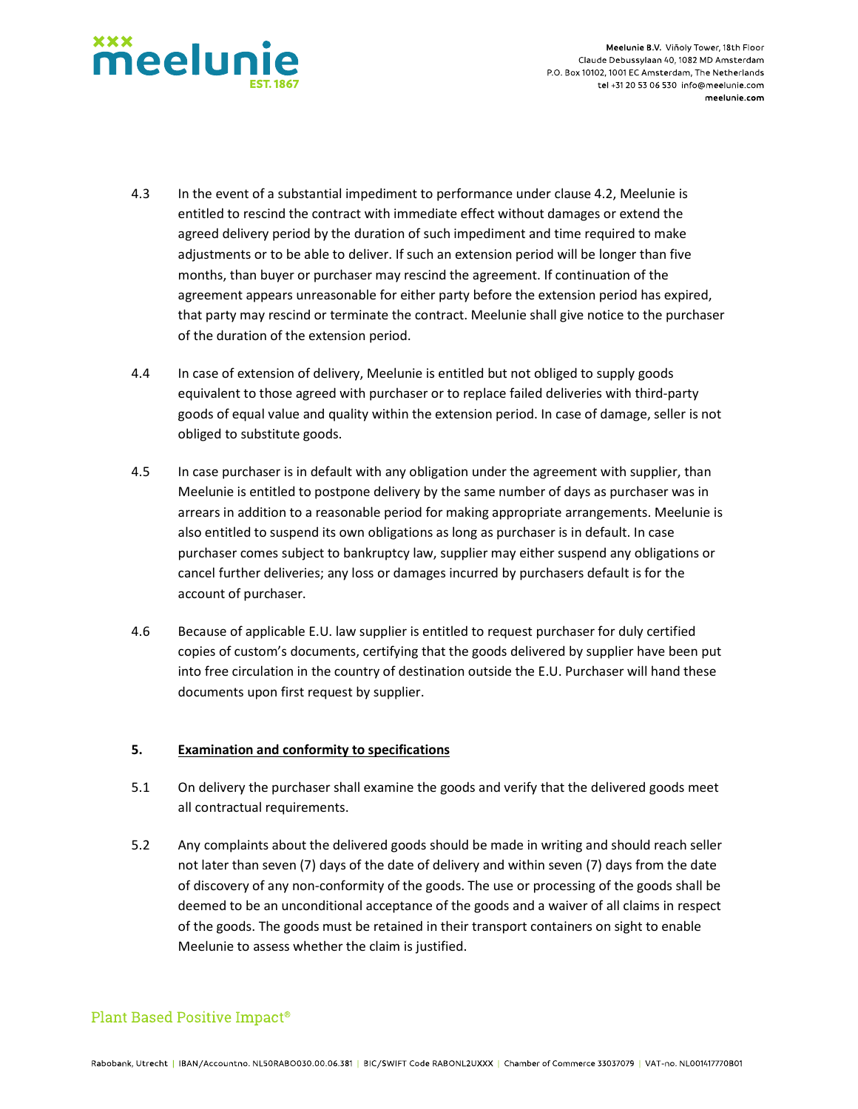

- 4.3 In the event of a substantial impediment to performance under clause 4.2, Meelunie is entitled to rescind the contract with immediate effect without damages or extend the agreed delivery period by the duration of such impediment and time required to make adjustments or to be able to deliver. If such an extension period will be longer than five months, than buyer or purchaser may rescind the agreement. If continuation of the agreement appears unreasonable for either party before the extension period has expired, that party may rescind or terminate the contract. Meelunie shall give notice to the purchaser of the duration of the extension period.
- 4.4 In case of extension of delivery, Meelunie is entitled but not obliged to supply goods equivalent to those agreed with purchaser or to replace failed deliveries with third-party goods of equal value and quality within the extension period. In case of damage, seller is not obliged to substitute goods.
- 4.5 In case purchaser is in default with any obligation under the agreement with supplier, than Meelunie is entitled to postpone delivery by the same number of days as purchaser was in arrears in addition to a reasonable period for making appropriate arrangements. Meelunie is also entitled to suspend its own obligations as long as purchaser is in default. In case purchaser comes subject to bankruptcy law, supplier may either suspend any obligations or cancel further deliveries; any loss or damages incurred by purchasers default is for the account of purchaser.
- 4.6 Because of applicable E.U. law supplier is entitled to request purchaser for duly certified copies of custom's documents, certifying that the goods delivered by supplier have been put into free circulation in the country of destination outside the E.U. Purchaser will hand these documents upon first request by supplier.

### 5. Examination and conformity to specifications

- 5.1 On delivery the purchaser shall examine the goods and verify that the delivered goods meet all contractual requirements.
- 5.2 Any complaints about the delivered goods should be made in writing and should reach seller not later than seven (7) days of the date of delivery and within seven (7) days from the date of discovery of any non-conformity of the goods. The use or processing of the goods shall be deemed to be an unconditional acceptance of the goods and a waiver of all claims in respect of the goods. The goods must be retained in their transport containers on sight to enable Meelunie to assess whether the claim is justified.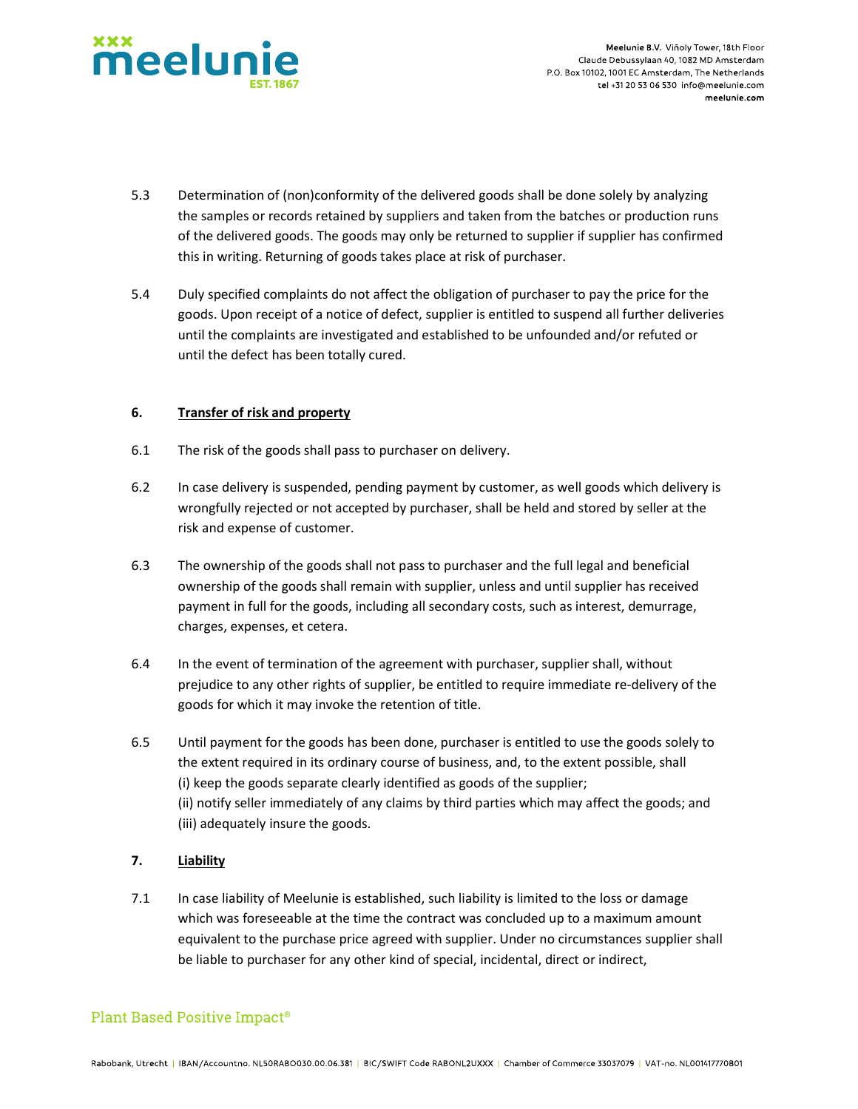

- 5.3 Determination of (non)conformity of the delivered goods shall be done solely by analyzing the samples or records retained by suppliers and taken from the batches or production runs of the delivered goods. The goods may only be returned to supplier if supplier has confirmed this in writing. Returning of goods takes place at risk of purchaser.
- 5.4 Duly specified complaints do not affect the obligation of purchaser to pay the price for the goods. Upon receipt of a notice of defect, supplier is entitled to suspend all further deliveries until the complaints are investigated and established to be unfounded and/or refuted or until the defect has been totally cured.

### 6. Transfer of risk and property

- 6.1 The risk of the goods shall pass to purchaser on delivery.
- 6.2 In case delivery is suspended, pending payment by customer, as well goods which delivery is wrongfully rejected or not accepted by purchaser, shall be held and stored by seller at the risk and expense of customer.
- 6.3 The ownership of the goods shall not pass to purchaser and the full legal and beneficial ownership of the goods shall remain with supplier, unless and until supplier has received payment in full for the goods, including all secondary costs, such as interest, demurrage, charges, expenses, et cetera.
- 6.4 In the event of termination of the agreement with purchaser, supplier shall, without prejudice to any other rights of supplier, be entitled to require immediate re-delivery of the goods for which it may invoke the retention of title.
- 6.5 Until payment for the goods has been done, purchaser is entitled to use the goods solely to the extent required in its ordinary course of business, and, to the extent possible, shall (i) keep the goods separate clearly identified as goods of the supplier; (ii) notify seller immediately of any claims by third parties which may affect the goods; and (iii) adequately insure the goods.

### 7. Liability

7.1 In case liability of Meelunie is established, such liability is limited to the loss or damage which was foreseeable at the time the contract was concluded up to a maximum amount equivalent to the purchase price agreed with supplier. Under no circumstances supplier shall be liable to purchaser for any other kind of special, incidental, direct or indirect,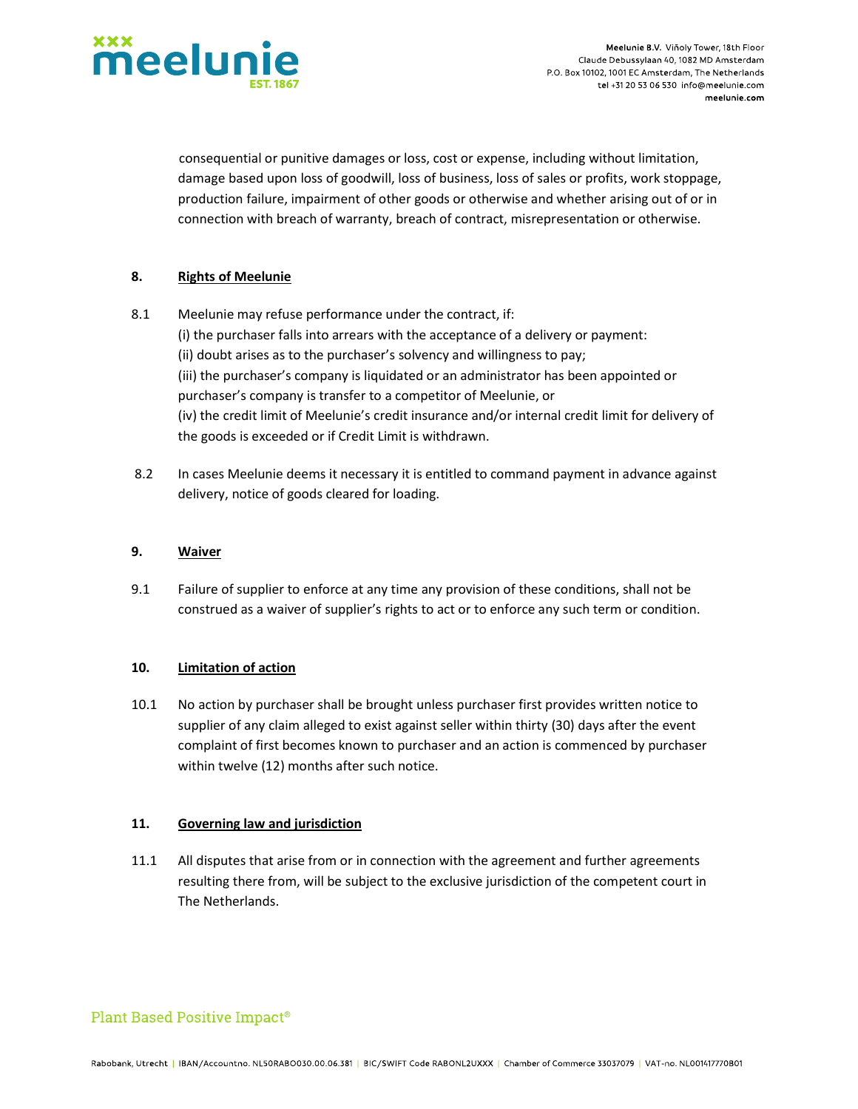

 consequential or punitive damages or loss, cost or expense, including without limitation, damage based upon loss of goodwill, loss of business, loss of sales or profits, work stoppage, production failure, impairment of other goods or otherwise and whether arising out of or in connection with breach of warranty, breach of contract, misrepresentation or otherwise.

### 8. Rights of Meelunie

- 8.1 Meelunie may refuse performance under the contract, if: (i) the purchaser falls into arrears with the acceptance of a delivery or payment: (ii) doubt arises as to the purchaser's solvency and willingness to pay; (iii) the purchaser's company is liquidated or an administrator has been appointed or purchaser's company is transfer to a competitor of Meelunie, or (iv) the credit limit of Meelunie's credit insurance and/or internal credit limit for delivery of the goods is exceeded or if Credit Limit is withdrawn.
- 8.2 In cases Meelunie deems it necessary it is entitled to command payment in advance against delivery, notice of goods cleared for loading.

#### 9. Waiver

9.1 Failure of supplier to enforce at any time any provision of these conditions, shall not be construed as a waiver of supplier's rights to act or to enforce any such term or condition.

### 10. Limitation of action

10.1 No action by purchaser shall be brought unless purchaser first provides written notice to supplier of any claim alleged to exist against seller within thirty (30) days after the event complaint of first becomes known to purchaser and an action is commenced by purchaser within twelve (12) months after such notice.

### 11. Governing law and jurisdiction

11.1 All disputes that arise from or in connection with the agreement and further agreements resulting there from, will be subject to the exclusive jurisdiction of the competent court in The Netherlands.